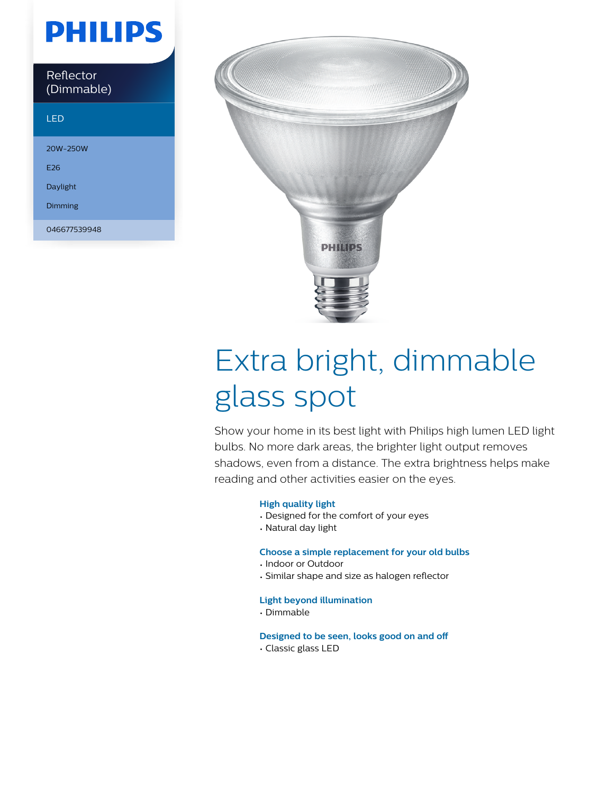# **PHILIPS**

| Reflector  |  |
|------------|--|
| (Dimmable) |  |

### LED

20W-250W E26

Daylight

Dimming

046677539948



# Extra bright, dimmable glass spot

Show your home in its best light with Philips high lumen LED light bulbs. No more dark areas, the brighter light output removes shadows, even from a distance. The extra brightness helps make reading and other activities easier on the eyes.

#### **High quality light**

- Designed for the comfort of your eyes
- Natural day light

#### **Choose a simple replacement for your old bulbs**

- Indoor or Outdoor
- Similar shape and size as halogen reflector

#### **Light beyond illumination**

• Dimmable

**Designed to be seen, looks good on and off**

• Classic glass LED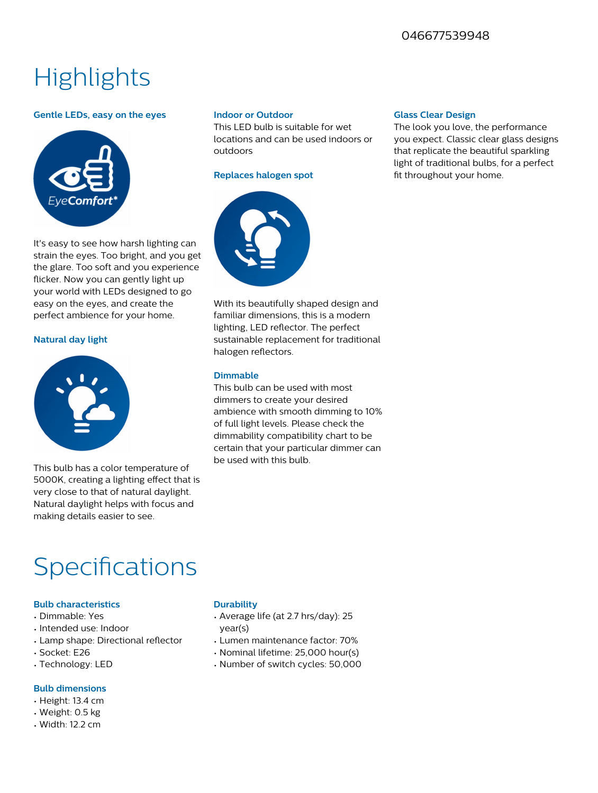### 046677539948

# **Highlights**

#### **Gentle LEDs, easy on the eyes**

It's easy to see how harsh lighting can



**Indoor or Outdoor** This LED bulb is suitable for wet

locations and can be used indoors or outdoors

#### **Replaces halogen spot**



strain the eyes. Too bright, and you get the glare. Too soft and you experience flicker. Now you can gently light up your world with LEDs designed to go easy on the eyes, and create the perfect ambience for your home. With its beautifully shaped design and familiar dimensions, this is a modern lighting, LED reflector. The perfect

#### **Natural day light**



This bulb has a color temperature of 5000K, creating a lighting effect that is very close to that of natural daylight. Natural daylight helps with focus and making details easier to see.

### sustainable replacement for traditional halogen reflectors.

#### **Dimmable**

This bulb can be used with most dimmers to create your desired ambience with smooth dimming to 10% of full light levels. Please check the dimmability compatibility chart to be certain that your particular dimmer can be used with this bulb.

## Specifications

#### **Bulb characteristics**

- Dimmable: Yes
- Intended use: Indoor
- $\cdot$  Lamp shape: Directional reflector
- Socket: E26
- Technology: LED

#### **Bulb dimensions**

- Height: 13.4 cm
- Weight: 0.5 kg
- Width: 12.2 cm

#### **Durability**

- Average life (at 2.7 hrs/day): 25 year(s)
- Lumen maintenance factor: 70%
- Nominal lifetime: 25,000 hour(s)
- Number of switch cycles: 50,000

#### **Glass Clear Design**

The look you love, the performance you expect. Classic clear glass designs that replicate the beautiful sparkling light of traditional bulbs, for a perfect fit throughout your home.